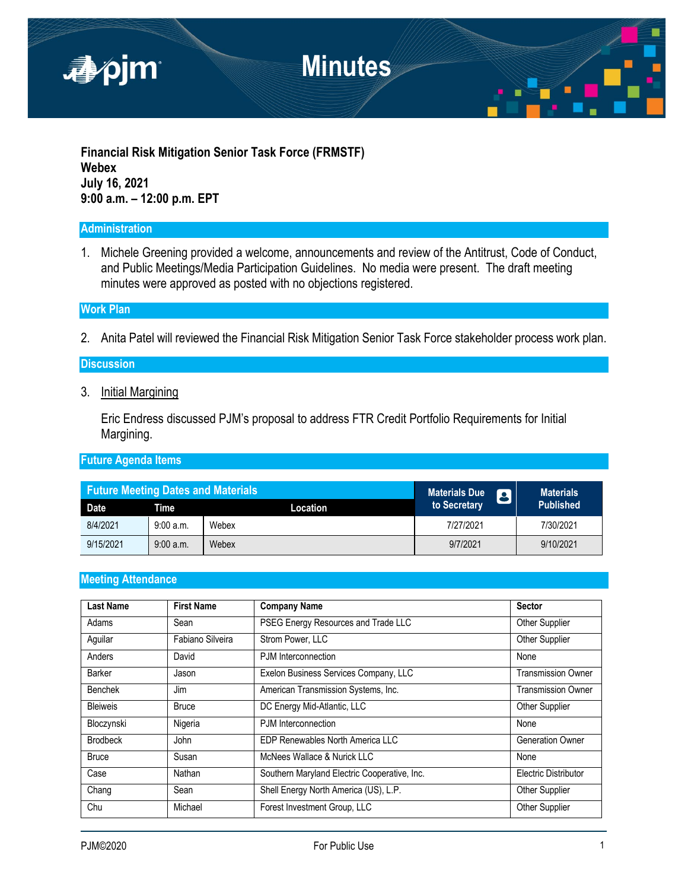

**Financial Risk Mitigation Senior Task Force (FRMSTF) Webex July 16, 2021 9:00 a.m. – 12:00 p.m. EPT**

## **Administration**

1. Michele Greening provided a welcome, announcements and review of the Antitrust, Code of Conduct, and Public Meetings/Media Participation Guidelines. No media were present. The draft meeting minutes were approved as posted with no objections registered.

## **Work Plan**

2. Anita Patel will reviewed the Financial Risk Mitigation Senior Task Force stakeholder process work plan.

### **Discussion**

3. Initial Margining

Eric Endress discussed PJM's proposal to address FTR Credit Portfolio Requirements for Initial Margining.

## **Future Agenda Items**

| <b>Future Meeting Dates and Materials</b> |           |          | <b>Materials Due</b><br>8 | <b>Materials</b><br><b>Published</b> |
|-------------------------------------------|-----------|----------|---------------------------|--------------------------------------|
| Date                                      | Time      | Location | to Secretary              |                                      |
| 8/4/2021                                  | 9:00a.m.  | Webex    | 7/27/2021                 | 7/30/2021                            |
| 9/15/2021                                 | 9:00 a.m. | Webex    | 9/7/2021                  | 9/10/2021                            |

#### **Meeting Attendance**

| <b>Last Name</b> | <b>First Name</b> | <b>Company Name</b>                          | Sector                    |
|------------------|-------------------|----------------------------------------------|---------------------------|
| Adams            | Sean              | PSEG Energy Resources and Trade LLC          | Other Supplier            |
| Aguilar          | Fabiano Silveira  | Strom Power, LLC                             | Other Supplier            |
| Anders           | David             | PJM Interconnection                          | None                      |
| Barker           | Jason             | Exelon Business Services Company, LLC        | <b>Transmission Owner</b> |
| Benchek          | Jim               | American Transmission Systems, Inc.          | <b>Transmission Owner</b> |
| <b>Bleiweis</b>  | <b>Bruce</b>      | DC Energy Mid-Atlantic, LLC                  | Other Supplier            |
| Bloczynski       | Nigeria           | PJM Interconnection                          | None                      |
| <b>Brodbeck</b>  | John              | EDP Renewables North America LLC             | <b>Generation Owner</b>   |
| <b>Bruce</b>     | Susan             | McNees Wallace & Nurick LLC                  | None                      |
| Case             | Nathan            | Southern Maryland Electric Cooperative, Inc. | Electric Distributor      |
| Chang            | Sean              | Shell Energy North America (US), L.P.        | Other Supplier            |
| Chu              | Michael           | Forest Investment Group, LLC                 | <b>Other Supplier</b>     |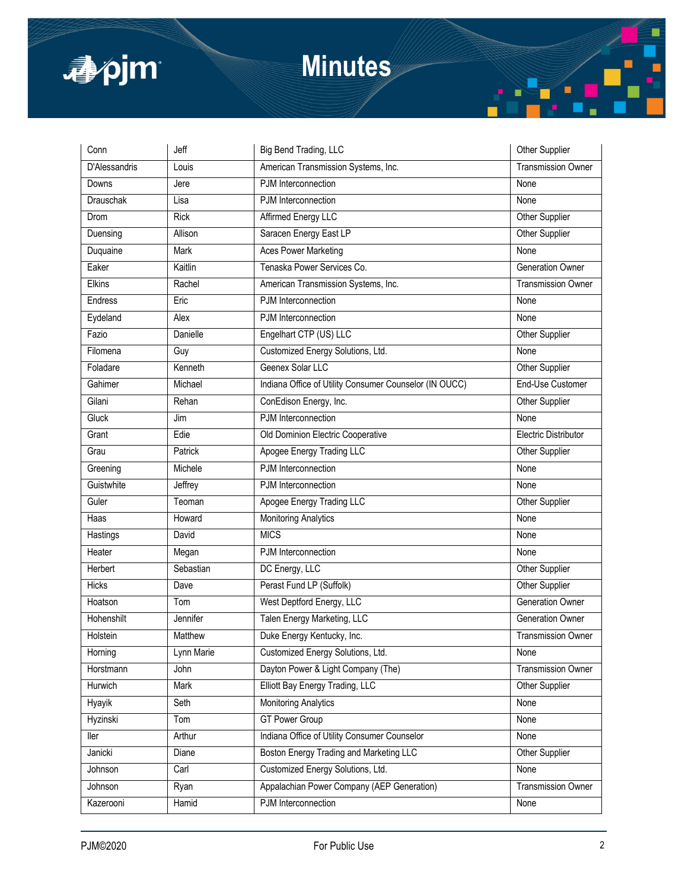

# **Minutes**

| Conn             | Jeff        | Big Bend Trading, LLC                                  | Other Supplier              |
|------------------|-------------|--------------------------------------------------------|-----------------------------|
| D'Alessandris    | Louis       | American Transmission Systems, Inc.                    | <b>Transmission Owner</b>   |
| Downs            | Jere        | PJM Interconnection                                    | None                        |
| <b>Drauschak</b> | Lisa        | PJM Interconnection                                    | None                        |
| Drom             | <b>Rick</b> | Affirmed Energy LLC                                    | Other Supplier              |
| Duensing         | Allison     | Saracen Energy East LP                                 | Other Supplier              |
| Duquaine         | Mark        | <b>Aces Power Marketing</b>                            | None                        |
| Eaker            | Kaitlin     | Tenaska Power Services Co.                             | <b>Generation Owner</b>     |
| <b>Elkins</b>    | Rachel      | American Transmission Systems, Inc.                    | <b>Transmission Owner</b>   |
| Endress          | Eric        | PJM Interconnection                                    | None                        |
| Eydeland         | Alex        | PJM Interconnection                                    | None                        |
| Fazio            | Danielle    | Engelhart CTP (US) LLC                                 | Other Supplier              |
| Filomena         | Guy         | Customized Energy Solutions, Ltd.                      | None                        |
| Foladare         | Kenneth     | Geenex Solar LLC                                       | Other Supplier              |
| Gahimer          | Michael     | Indiana Office of Utility Consumer Counselor (IN OUCC) | End-Use Customer            |
| Gilani           | Rehan       | ConEdison Energy, Inc.                                 | Other Supplier              |
| Gluck            | Jim         | PJM Interconnection                                    | None                        |
| Grant            | Edie        | Old Dominion Electric Cooperative                      | <b>Electric Distributor</b> |
| Grau             | Patrick     | Apogee Energy Trading LLC                              | Other Supplier              |
| Greening         | Michele     | PJM Interconnection                                    | None                        |
| Guistwhite       | Jeffrey     | PJM Interconnection                                    | None                        |
| Guler            | Teoman      | Apogee Energy Trading LLC                              | Other Supplier              |
| Haas             | Howard      | <b>Monitoring Analytics</b>                            | None                        |
| Hastings         | David       | <b>MICS</b>                                            | None                        |
| Heater           | Megan       | PJM Interconnection                                    | None                        |
| Herbert          | Sebastian   | DC Energy, LLC                                         | Other Supplier              |
| <b>Hicks</b>     | Dave        | Perast Fund LP (Suffolk)                               | Other Supplier              |
| Hoatson          | Tom         | West Deptford Energy, LLC                              | <b>Generation Owner</b>     |
| Hohenshilt       | Jennifer    | Talen Energy Marketing, LLC                            | <b>Generation Owner</b>     |
| Holstein         | Matthew     | Duke Energy Kentucky, Inc.                             | <b>Transmission Owner</b>   |
| Horning          | Lynn Marie  | Customized Energy Solutions, Ltd.                      | None                        |
| Horstmann        | John        | Dayton Power & Light Company (The)                     | <b>Transmission Owner</b>   |
| Hurwich          | Mark        | Elliott Bay Energy Trading, LLC                        | Other Supplier              |
| Hyayik           | Seth        | <b>Monitoring Analytics</b>                            | None                        |
| Hyzinski         | Tom         | <b>GT Power Group</b>                                  | None                        |
| ller             | Arthur      | Indiana Office of Utility Consumer Counselor           | None                        |
| Janicki          | Diane       | Boston Energy Trading and Marketing LLC                | Other Supplier              |
| Johnson          | Carl        | Customized Energy Solutions, Ltd.                      | None                        |
| Johnson          | Ryan        | Appalachian Power Company (AEP Generation)             | <b>Transmission Owner</b>   |
| Kazerooni        | Hamid       | PJM Interconnection                                    | None                        |

π

 $\blacksquare$